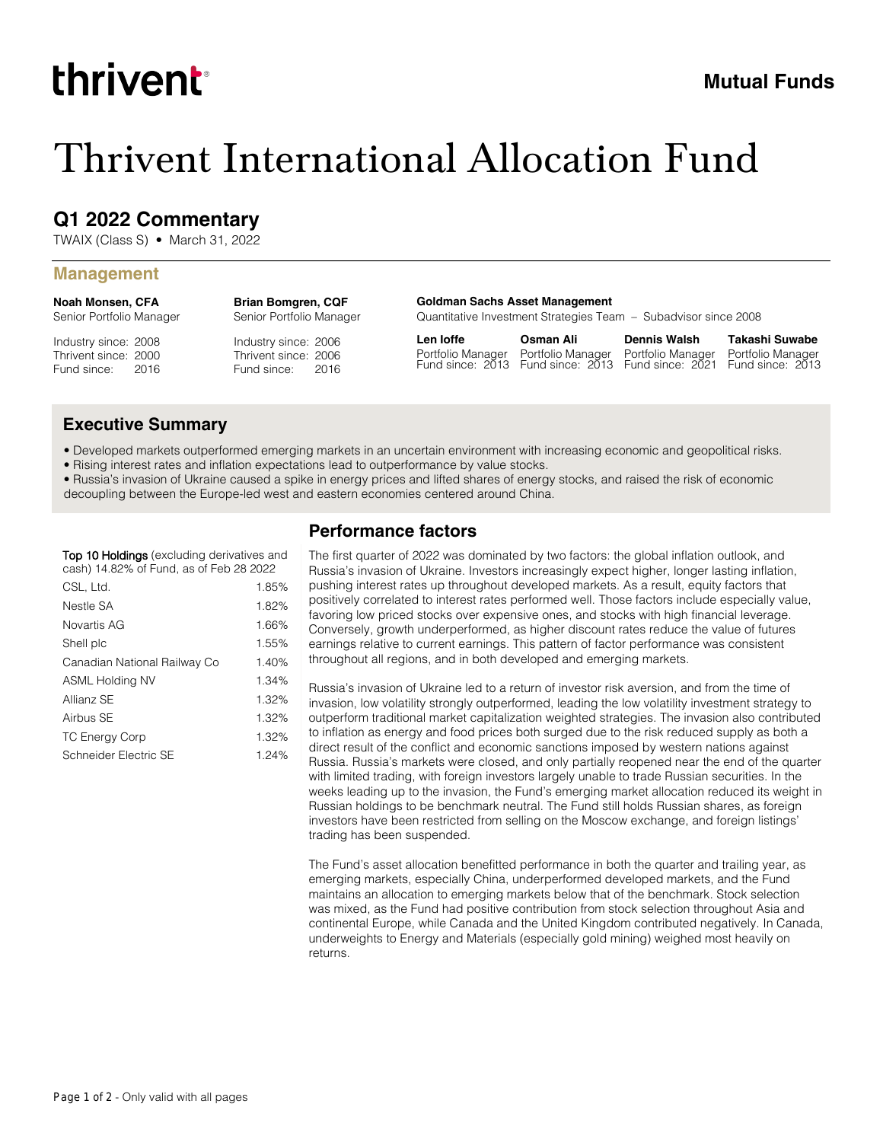# thrivent

## Thrivent International Allocation Fund

## **Q1 2022 Commentary**

TWAIX (Class S) • March 31, 2022

#### **Management**

**Noah Monsen, CFA** Senior Portfolio Manager

Industry since: 2008 Thrivent since: 2000 Fund since: 2016

Industry since: 2006 Thrivent since: 2006 Senior Portfolio Manager

**Brian Bomgren, CQF**

Fund since: 2016

**Goldman Sachs Asset Management**

Quantitative Investment Strategies Team – Subadvisor since 2008

**Len Ioffe** Portfolio Manager Fund since: 2013 Fund since: 2013 Fund since: 2021 **Osman Ali**

Portfolio Manager **Dennis Walsh** Portfolio Manager

**Takashi Suwabe** Portfolio Manager Fund since: 2013

### **Executive Summary**

- Developed markets outperformed emerging markets in an uncertain environment with increasing economic and geopolitical risks.
- Rising interest rates and inflation expectations lead to outperformance by value stocks.
- Russia's invasion of Ukraine caused a spike in energy prices and lifted shares of energy stocks, and raised the risk of economic decoupling between the Europe-led west and eastern economies centered around China.

| <b>Top 10 Holdings</b> (excluding derivatives and |  |  |
|---------------------------------------------------|--|--|
| cash) 14.82% of Fund, as of Feb 28 2022           |  |  |

| CSL, Ltd.                    | 1.85% |
|------------------------------|-------|
| Nestle SA                    | 1.82% |
| Novartis AG                  | 1.66% |
| Shell plc                    | 1.55% |
| Canadian National Railway Co | 1.40% |
| ASML Holding NV              | 1.34% |
| Allianz SE                   | 1.32% |
| Airbus SE                    | 1.32% |
| <b>TC Energy Corp</b>        | 1.32% |
| Schneider Electric SE        | 1.24% |

## **Performance factors**

The first quarter of 2022 was dominated by two factors: the global inflation outlook, and Russia's invasion of Ukraine. Investors increasingly expect higher, longer lasting inflation, pushing interest rates up throughout developed markets. As a result, equity factors that positively correlated to interest rates performed well. Those factors include especially value, favoring low priced stocks over expensive ones, and stocks with high financial leverage. Conversely, growth underperformed, as higher discount rates reduce the value of futures earnings relative to current earnings. This pattern of factor performance was consistent throughout all regions, and in both developed and emerging markets.

Russia's invasion of Ukraine led to a return of investor risk aversion, and from the time of invasion, low volatility strongly outperformed, leading the low volatility investment strategy to outperform traditional market capitalization weighted strategies. The invasion also contributed to inflation as energy and food prices both surged due to the risk reduced supply as both a direct result of the conflict and economic sanctions imposed by western nations against Russia. Russia's markets were closed, and only partially reopened near the end of the quarter with limited trading, with foreign investors largely unable to trade Russian securities. In the weeks leading up to the invasion, the Fund's emerging market allocation reduced its weight in Russian holdings to be benchmark neutral. The Fund still holds Russian shares, as foreign investors have been restricted from selling on the Moscow exchange, and foreign listings' trading has been suspended.

The Fund's asset allocation benefitted performance in both the quarter and trailing year, as emerging markets, especially China, underperformed developed markets, and the Fund maintains an allocation to emerging markets below that of the benchmark. Stock selection was mixed, as the Fund had positive contribution from stock selection throughout Asia and continental Europe, while Canada and the United Kingdom contributed negatively. In Canada, underweights to Energy and Materials (especially gold mining) weighed most heavily on returns.